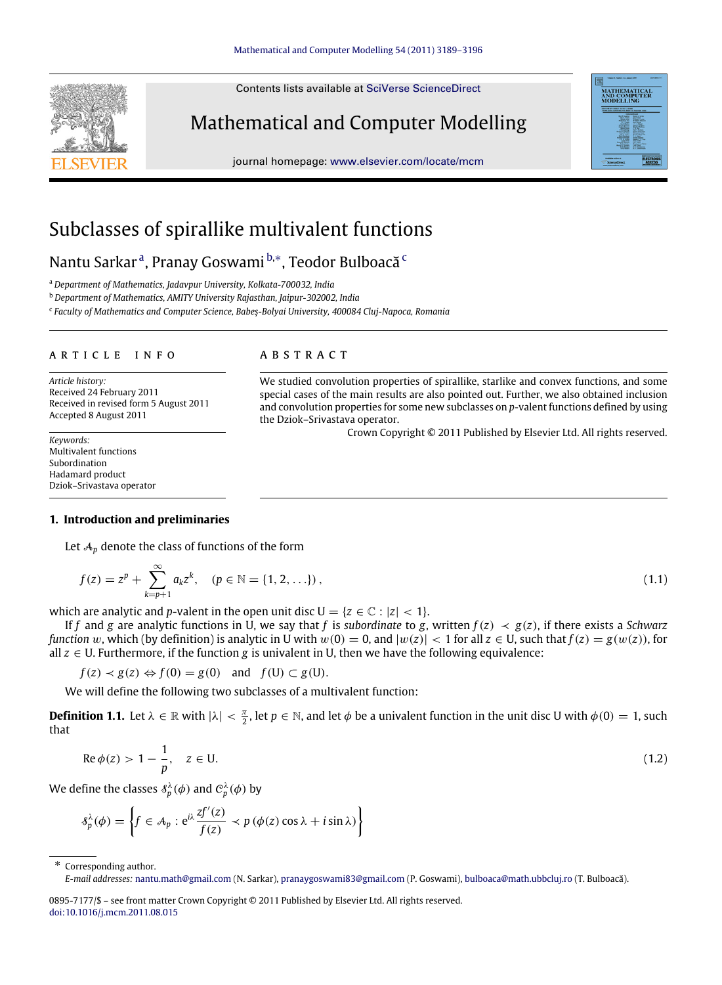Contents lists available at [SciVerse ScienceDirect](http://www.elsevier.com/locate/mcm)

# Mathematical and Computer Modelling

journal homepage: [www.elsevier.com/locate/mcm](http://www.elsevier.com/locate/mcm)

# Subclasses of spirallike multivalent functions

N[a](#page-0-0)ntu Sarkarª, Pranay Goswami <sup>[b,](#page-0-1)</sup>\*, Teodor Bulboa[c](#page-0-3)ă <sup>c</sup>

<span id="page-0-0"></span><sup>a</sup> *Department of Mathematics, Jadavpur University, Kolkata-700032, India*

<span id="page-0-1"></span><sup>b</sup> *Department of Mathematics, AMITY University Rajasthan, Jaipur-302002, India*

<span id="page-0-3"></span>c *Faculty of Mathematics and Computer Science, Babeş-Bolyai University, 400084 Cluj-Napoca, Romania*

#### a r t i c l e i n f o

*Article history:* Received 24 February 2011 Received in revised form 5 August 2011 Accepted 8 August 2011

*Keywords:* Multivalent functions Subordination Hadamard product Dziok–Srivastava operator

## A B S T R A C T

We studied convolution properties of spirallike, starlike and convex functions, and some special cases of the main results are also pointed out. Further, we also obtained inclusion and convolution properties for some new subclasses on *p*-valent functions defined by using the Dziok–Srivastava operator.

<span id="page-0-5"></span><span id="page-0-4"></span>Crown Copyright © 2011 Published by Elsevier Ltd. All rights reserved.

# **1. Introduction and preliminaries**

Let  $A_p$  denote the class of functions of the form

$$
f(z) = zp + \sum_{k=p+1}^{\infty} a_k z^k, \quad (p \in \mathbb{N} = \{1, 2, \ldots\}),
$$
 (1.1)

which are analytic and *p*-valent in the open unit disc  $U = \{z \in \mathbb{C} : |z| < 1\}.$ 

If *f* and *g* are analytic functions in U, we say that *f* is *subordinate* to *g*, written  $f(z) \prec g(z)$ , if there exists a *Schwarz function* w, which (by definition) is analytic in U with  $w(0) = 0$ , and  $|w(z)| < 1$  for all  $z \in U$ , such that  $f(z) = g(w(z))$ , for all *z* ∈ U. Furthermore, if the function *g* is univalent in U, then we have the following equivalence:

 $f(z) \prec g(z) \Leftrightarrow f(0) = g(0)$  and  $f(U) \subset g(U)$ .

We will define the following two subclasses of a multivalent function:

**Definition 1.1.** Let  $\lambda \in \mathbb{R}$  with  $|\lambda| < \frac{\pi}{2}$ , let  $p \in \mathbb{N}$ , and let  $\phi$  be a univalent function in the unit disc U with  $\phi(0) = 1$ , such that

$$
\operatorname{Re}\phi(z) > 1 - \frac{1}{p}, \quad z \in U. \tag{1.2}
$$

We define the classes  $\delta_p^{\lambda}(\phi)$  and  $\mathcal{C}_p^{\lambda}(\phi)$  by

$$
\delta_p^{\lambda}(\phi) = \left\{ f \in A_p : e^{i\lambda} \frac{zf'(z)}{f(z)} \prec p(\phi(z) \cos \lambda + i \sin \lambda) \right\}
$$

<span id="page-0-2"></span>Corresponding author.





*E-mail addresses:* [nantu.math@gmail.com](mailto:nantu.math@gmail.com) (N. Sarkar), [pranaygoswami83@gmail.com](mailto:pranaygoswami83@gmail.com) (P. Goswami), [bulboaca@math.ubbcluj.ro](mailto:bulboaca@math.ubbcluj.ro) (T. Bulboacă).

<sup>0895-7177/\$ –</sup> see front matter Crown Copyright © 2011 Published by Elsevier Ltd. All rights reserved. [doi:10.1016/j.mcm.2011.08.015](http://dx.doi.org/10.1016/j.mcm.2011.08.015)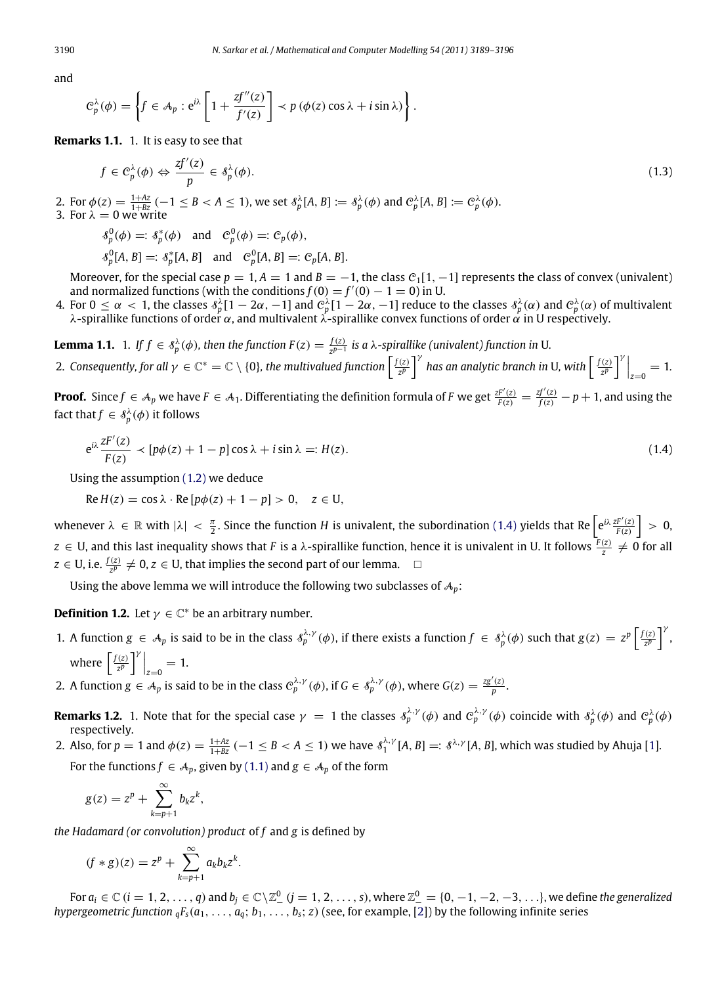and

$$
C_p^{\lambda}(\phi) = \left\{ f \in A_p : e^{i\lambda} \left[ 1 + \frac{zf''(z)}{f'(z)} \right] \prec p(\phi(z) \cos \lambda + i \sin \lambda) \right\}.
$$

**Remarks 1.1.** 1. It is easy to see that

<span id="page-1-2"></span>
$$
f \in \mathcal{C}_p^{\lambda}(\phi) \Leftrightarrow \frac{zf'(z)}{p} \in \mathcal{S}_p^{\lambda}(\phi). \tag{1.3}
$$

2. For  $\phi(z) = \frac{1+Az}{1+Bz}$  (-1 \le B < A \le 1), we set  $\delta_p^{\lambda}[A, B] := \delta_p^{\lambda}(\phi)$  and  $C_p^{\lambda}[A, B] := C_p^{\lambda}(\phi)$ . 3. For  $\lambda = 0$  we write

$$
\begin{aligned}\n\mathcal{S}_p^0(\phi) &= : \mathcal{S}_p^*(\phi) \quad \text{and} \quad C_p^0(\phi) = : C_p(\phi), \\
\mathcal{S}_p^0[A, B] &= : \mathcal{S}_p^*[A, B] \quad \text{and} \quad C_p^0[A, B] = : C_p[A, B].\n\end{aligned}
$$

Moreover, for the special case  $p = 1$ ,  $A = 1$  and  $B = -1$ , the class  $C_1[1, -1]$  represents the class of convex (univalent) and normalized functions (with the conditions  $f(0) = f'(0) - 1 = 0$ ) in U.

4. For  $0\leq\alpha\,<\,1$ , the classes  $\delta^\lambda_p[1-2\alpha,-1]$  and  $\mathcal{C}^\lambda_p[1-2\alpha,-1]$  reduce to the classes  $\delta^\lambda_p(\alpha)$  and  $\mathcal{C}^\lambda_p(\alpha)$  of multivalent λ-spirallike functions of order  $\alpha$ , and multivalent  $\lambda$ -spirallike convex functions of order  $\alpha$  in U respectively.

**Lemma 1.1.** 1. If  $f \in \delta_p^{\lambda}(\phi)$ , then the function  $F(z) = \frac{f(z)}{z^{p-1}}$ *z p*−1 *is a* λ*-spirallike (univalent) function in* U*.*

2. Consequently, for all  $\gamma \in \mathbb{C}^* = \mathbb{C} \setminus \{0\}$ , the multivalued function  $\left[\frac{f(z)}{z^p}\right]^\gamma$  has an analytic branch in U, with  $\left[\frac{f(z)}{z^p}\right]^\gamma\Big|_{z=0} = 1$ .

**Proof.** Since  $f \in A_p$  we have  $F \in A_1$ . Differentiating the definition formula of F we get  $\frac{zF'(z)}{F(z)} = \frac{zf'(z)}{f(z)} - p + 1$ , and using the fact that  $f \in \mathcal{S}_p^{\lambda}(\phi)$  it follows

<span id="page-1-0"></span>
$$
e^{i\lambda} \frac{zF'(z)}{F(z)} \prec [p\phi(z) + 1 - p] \cos \lambda + i \sin \lambda =: H(z).
$$
\n(1.4)

Using the assumption [\(1.2\)](#page-0-4) we deduce

$$
Re H(z) = \cos \lambda \cdot Re [p\phi(z) + 1 - p] > 0, \quad z \in U,
$$

whenever  $\lambda \in \mathbb{R}$  with  $|\lambda| < \frac{\pi}{2}$ . Since the function *H* is univalent, the subordination [\(1.4\)](#page-1-0) yields that Re  $\left[e^{i\lambda} \frac{zF'(z)}{F(z)}\right] > 0$ ,  $z \in U$ , and this last inequality shows that *F* is a  $\lambda$ -spirallike function, hence it is univalent in U. It follows  $\frac{F(z)}{z} \neq 0$  for all *z* ∈ U, i.e.  $\frac{f(z)}{z^p}$  ≠ 0, *z* ∈ U, that implies the second part of our lemma.  $□$ 

<span id="page-1-1"></span>Using the above lemma we will introduce the following two subclasses of  $A_p$ :

**Definition 1.2.** Let  $\gamma \in \mathbb{C}^*$  be an arbitrary number.

- 1. A function  $g \in A_p$  is said to be in the class  $\delta_p^{\lambda,\gamma}(\phi)$ , if there exists a function  $f \in \delta_p^{\lambda}(\phi)$  such that  $g(z) = z^p \left[\frac{f(z)}{z^p}\right]^{\gamma}$ , where  $\left[\frac{f(z)}{z^p}\right]^\gamma\Big|_{z=0} = 1.$
- 2. A function  $g \in A_p$  is said to be in the class  $C_p^{\lambda,\gamma}(\phi)$ , if  $G \in \mathcal{S}_p^{\lambda,\gamma}(\phi)$ , where  $G(z) = \frac{z g'(z)}{p}$ .
- **Remarks 1.2.** 1. Note that for the special case  $\gamma = 1$  the classes  $\delta_p^{\lambda,\gamma}(\phi)$  and  $C_p^{\lambda,\gamma}(\phi)$  coincide with  $\delta_p^{\lambda}(\phi)$  and  $C_p^{\lambda}(\phi)$ respectively.
- 2. Also, for  $p = 1$  and  $\phi(z) = \frac{1+Az}{1+Bz}$  ( $-1 \leq B < A \leq 1$ ) we have  $s_1^{\lambda,\gamma}[A,B] = s^{\lambda,\gamma}[A,B]$ , which was studied by Ahuja [\[1\]](#page-6-0). For the functions  $f \in A_p$ , given by [\(1.1\)](#page-0-5) and  $g \in A_p$  of the form

$$
g(z) = zp + \sum_{k=p+1}^{\infty} b_k z^k,
$$

*the Hadamard (or convolution) product* of *f* and *g* is defined by

$$
(f * g)(z) = zp + \sum_{k=p+1}^{\infty} a_k b_k z^k.
$$

For  $a_i \in \mathbb{C}$   $(i = 1, 2, \ldots, q)$  and  $b_j \in \mathbb{C} \setminus \mathbb{Z}_-^0$   $(j = 1, 2, \ldots, s)$ , where  $\mathbb{Z}_-^0 = \{0, -1, -2, -3, \ldots\}$ , we define *the generalized hypergeometric function*  $_qF_s(a_1, \ldots, a_q; b_1, \ldots, b_s; z)$  (see, for example, [\[2\]](#page-6-1)) by the following infinite series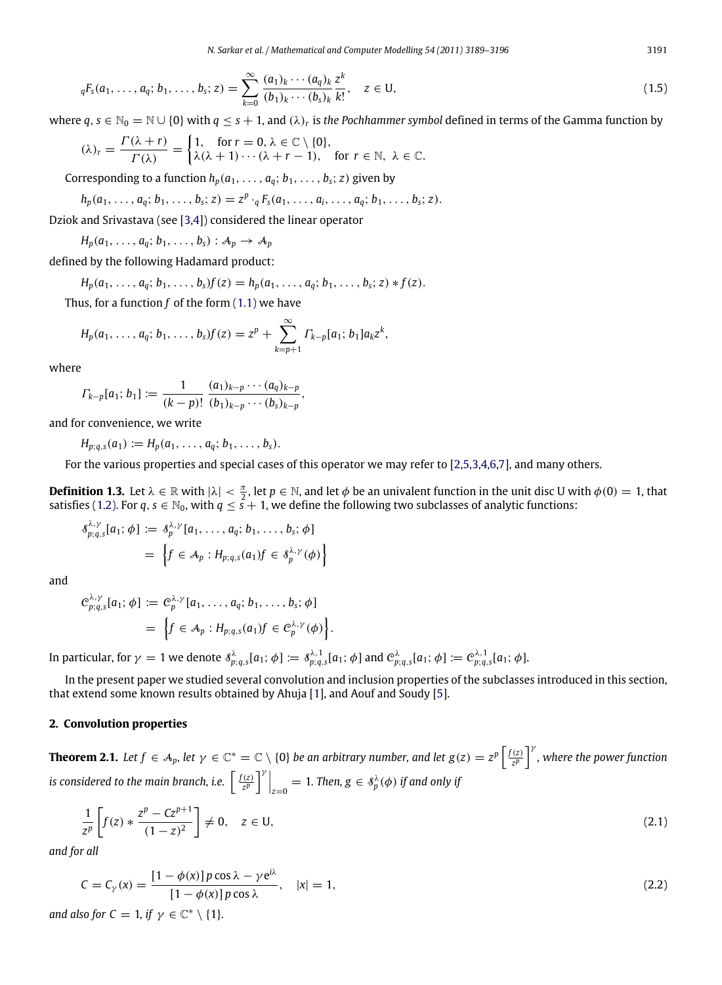$$
{}_{q}F_{s}(a_{1},\ldots,a_{q};b_{1},\ldots,b_{s};z)=\sum_{k=0}^{\infty}\frac{(a_{1})_{k}\cdots(a_{q})_{k}}{(b_{1})_{k}\cdots(b_{s})_{k}}\frac{z^{k}}{k!},\quad z\in U,
$$
\n(1.5)

where  $q, s \in \mathbb{N}_0 = \mathbb{N} \cup \{0\}$  with  $q \leq s + 1$ , and  $(\lambda)_r$  is the Pochhammer symbol defined in terms of the Gamma function by

$$
(\lambda)_r = \frac{\Gamma(\lambda + r)}{\Gamma(\lambda)} = \begin{cases} 1, & \text{for } r = 0, \lambda \in \mathbb{C} \setminus \{0\}, \\ \lambda(\lambda + 1) \cdots (\lambda + r - 1), & \text{for } r \in \mathbb{N}, \lambda \in \mathbb{C}. \end{cases}
$$

Corresponding to a function  $h_p(a_1, \ldots, a_q; b_1, \ldots, b_s; z)$  given by

$$
h_p(a_1,\ldots,a_q;b_1,\ldots,b_s;z)=z^p\cdot_qF_s(a_1,\ldots,a_i,\ldots,a_q;b_1,\ldots,b_s;z).
$$

Dziok and Srivastava (see [\[3,](#page-6-2)[4\]](#page-6-3)) considered the linear operator

$$
H_p(a_1,\ldots,a_q;b_1,\ldots,b_s):A_p\to A_p
$$

defined by the following Hadamard product:

$$
H_p(a_1,\ldots,a_q;b_1,\ldots,b_s)f(z) = h_p(a_1,\ldots,a_q;b_1,\ldots,b_s;z)*f(z).
$$

Thus, for a function *f* of the form [\(1.1\)](#page-0-5) we have

$$
H_p(a_1,\ldots,a_q;b_1,\ldots,b_s)f(z) = z^p + \sum_{k=p+1}^{\infty} \Gamma_{k-p}[a_1;b_1]a_k z^k,
$$

where

$$
\Gamma_{k-p}[a_1;b_1]:=\frac{1}{(k-p)!}\frac{(a_1)_{k-p}\cdots(a_q)_{k-p}}{(b_1)_{k-p}\cdots(b_s)_{k-p}},
$$

and for convenience, we write

 $H_{p; q, s}(a_1) := H_p(a_1, \ldots, a_q; b_1, \ldots, b_s).$ 

For the various properties and special cases of this operator we may refer to [\[2](#page-6-1)[,5](#page-7-0)[,3,](#page-6-2)[4,](#page-6-3)[6](#page-7-1)[,7\]](#page-7-2), and many others.

**Definition 1.3.** Let  $\lambda \in \mathbb{R}$  with  $|\lambda| < \frac{\pi}{2}$ , let  $p \in \mathbb{N}$ , and let  $\phi$  be an univalent function in the unit disc U with  $\phi(0) = 1$ , that satisfies [\(1.2\).](#page-0-4) For  $q, s \in \mathbb{N}_0$ , with  $q \leq s + 1$ , we define the following two subclasses of analytic functions:

$$
\delta^{\lambda,\gamma}_{p;q,s}[a_1;\phi] := \delta^{\lambda,\gamma}_p[a_1,\ldots,a_q;b_1,\ldots,b_s;\phi]
$$
  
= 
$$
\left\{f\in A_p: H_{p;q,s}(a_1)f\in \delta^{\lambda,\gamma}_p(\phi)\right\}
$$

and

$$
C_{p;q,s}^{\lambda,\gamma}[a_1;\phi] := C_p^{\lambda,\gamma}[a_1,\ldots,a_q;b_1,\ldots,b_s;\phi]
$$
  
= 
$$
\left\{f\in \mathcal{A}_p: H_{p;q,s}(a_1)f\in C_p^{\lambda,\gamma}(\phi)\right\}.
$$

In particular, for  $\gamma=1$  we denote  $\delta^\lambda_{p;q,s}[a_1;\phi]:=\delta^{\lambda,1}_{p;q,s}[a_1;\phi]$  and  $\mathcal{C}^\lambda_{p;q,s}[a_1;\phi]:=\mathcal{C}^{\lambda,1}_{p;q,s}[a_1;\phi].$ 

In the present paper we studied several convolution and inclusion properties of the subclasses introduced in this section, that extend some known results obtained by Ahuja [\[1\]](#page-6-0), and Aouf and Soudy [\[5\]](#page-7-0).

### **2. Convolution properties**

<span id="page-2-2"></span>**Theorem 2.1.** Let  $f \in A_p$ , let  $\gamma \in \mathbb{C}^* = \mathbb{C} \setminus \{0\}$  be an arbitrary number, and let  $g(z) = z^p \left[\frac{f(z)}{z^p}\right]^\gamma$ , where the power function *is considered to the main branch, i.e.*  $\left[\frac{f(z)}{z^p}\right]^{\gamma}\Big|_{z=0} = 1$ *. Then,*  $g \in \hat{\delta}_p^{\lambda}(\phi)$  *if and only if* 

<span id="page-2-0"></span>
$$
\frac{1}{z^p} \left[ f(z) * \frac{z^p - Cz^{p+1}}{(1-z)^2} \right] \neq 0, \quad z \in U,
$$
\n(2.1)

*and for all*

<span id="page-2-1"></span>
$$
C = C_{\gamma}(x) = \frac{\left[1 - \phi(x)\right]p\cos\lambda - \gamma e^{i\lambda}}{\left[1 - \phi(x)\right]p\cos\lambda}, \quad |x| = 1,
$$
\n(2.2)

*and also for*  $C = 1$ *, if*  $\gamma \in \mathbb{C}^* \setminus \{1\}$ *.*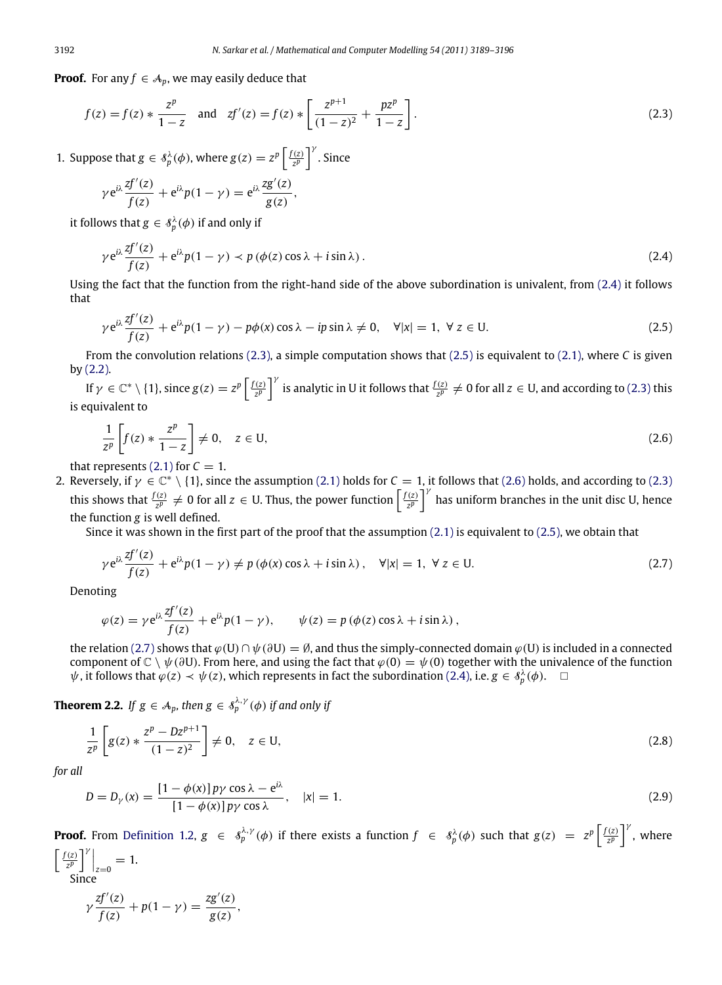**Proof.** For any  $f \in A_p$ , we may easily deduce that

$$
f(z) = f(z) * \frac{z^p}{1 - z} \quad \text{and} \quad zf'(z) = f(z) * \left[ \frac{z^{p+1}}{(1 - z)^2} + \frac{pz^p}{1 - z} \right].
$$
 (2.3)

1. Suppose that  $g \in \mathcal{S}_p^{\lambda}(\phi)$ , where  $g(z) = z^p \left[ \frac{f(z)}{z^p} \right]^{\gamma}$ . Since

<span id="page-3-1"></span>
$$
\gamma e^{i\lambda} \frac{zf'(z)}{f(z)} + e^{i\lambda} p(1-\gamma) = e^{i\lambda} \frac{zg'(z)}{g(z)},
$$

it follows that  $g \in \mathcal{S}_p^{\lambda}(\phi)$  if and only if

<span id="page-3-0"></span>
$$
\gamma e^{i\lambda} \frac{zf'(z)}{f(z)} + e^{i\lambda} p(1 - \gamma) \prec p(\phi(z) \cos \lambda + i \sin \lambda).
$$
 (2.4)

Using the fact that the function from the right-hand side of the above subordination is univalent, from [\(2.4\)](#page-3-0) it follows that

<span id="page-3-2"></span>
$$
\gamma e^{i\lambda} \frac{zf'(z)}{f(z)} + e^{i\lambda} p(1 - \gamma) - p\phi(x) \cos \lambda - ip \sin \lambda \neq 0, \quad \forall |x| = 1, \ \forall \ z \in U.
$$
 (2.5)

From the convolution relations [\(2.3\),](#page-3-1) a simple computation shows that [\(2.5\)](#page-3-2) is equivalent to [\(2.1\),](#page-2-0) where *C* is given by [\(2.2\).](#page-2-1)

If  $\gamma \in \mathbb{C}^* \setminus \{1\}$ , since  $g(z) = z^p \left[\frac{f(z)}{z^p}\right]^\gamma$  is analytic in U it follows that  $\frac{f(z)}{z^p} \neq 0$  for all  $z \in U$ , and according to [\(2.3\)](#page-3-1) this is equivalent to

<span id="page-3-3"></span>
$$
\frac{1}{z^p} \left[ f(z) * \frac{z^p}{1 - z} \right] \neq 0, \quad z \in U,
$$
\n(2.6)

that represents  $(2.1)$  for  $C = 1$ .

2. Reversely, if  $\gamma \in \mathbb{C}^* \setminus \{1\}$ , since the assumption [\(2.1\)](#page-2-0) holds for  $C = 1$ , it follows that [\(2.6\)](#page-3-3) holds, and according to [\(2.3\)](#page-3-1) this shows that  $\frac{f(z)}{z^p} \neq 0$  for all  $z \in U$ . Thus, the power function  $\left[\frac{f(z)}{z^p}\right]^\gamma$  has uniform branches in the unit disc U, hence the function *g* is well defined.

Since it was shown in the first part of the proof that the assumption  $(2.1)$  is equivalent to  $(2.5)$ , we obtain that

<span id="page-3-4"></span>
$$
\gamma e^{i\lambda} \frac{zf'(z)}{f(z)} + e^{i\lambda} p(1 - \gamma) \neq p(\phi(x) \cos \lambda + i \sin \lambda), \quad \forall |x| = 1, \ \forall \, z \in U.
$$
 (2.7)

Denoting

<span id="page-3-5"></span>
$$
\varphi(z) = \gamma e^{i\lambda} \frac{zf'(z)}{f(z)} + e^{i\lambda} p(1 - \gamma), \qquad \psi(z) = p(\phi(z) \cos \lambda + i \sin \lambda),
$$

the relation [\(2.7\)](#page-3-4) shows that  $\varphi(U) \cap \psi(\partial U) = \emptyset$ , and thus the simply-connected domain  $\varphi(U)$  is included in a connected component of  $\mathbb{C} \setminus \psi(\partial U)$ . From here, and using the fact that  $\varphi(0) = \psi(0)$  together with the univalence of the function  $\psi$ , it follows that  $\varphi(z) \prec \psi(z)$ , which represents in fact the subordination [\(2.4\),](#page-3-0) i.e.  $g \in \mathcal{S}_p^{\lambda}(\phi)$ .  $\Box$ 

**Theorem 2.2.** If  $g \in A_p$ , then  $g \in \mathcal{S}_p^{\lambda, \gamma}(\phi)$  if and only if

<span id="page-3-7"></span>
$$
\frac{1}{z^p} \left[ g(z) * \frac{z^p - Dz^{p+1}}{(1-z)^2} \right] \neq 0, \quad z \in U,
$$
\n(2.8)

*for all*

<span id="page-3-6"></span>
$$
D = D_{\gamma}(x) = \frac{\left[1 - \phi(x)\right]p\gamma\cos\lambda - e^{i\lambda}}{\left[1 - \phi(x)\right]p\gamma\cos\lambda}, \quad |x| = 1.
$$
\n(2.9)

**Proof.** From [Definition 1.2,](#page-1-1)  $g \in s_p^{\lambda, \gamma}(\phi)$  if there exists a function  $f \in s_p^{\lambda}(\phi)$  such that  $g(z) = z^p \left[\frac{f(z)}{z^p}\right]^{\gamma}$ , where

$$
\left[\frac{f(z)}{z^p}\right]_{z=0}^{\gamma} = 1.
$$
  
Since  

$$
\gamma \frac{zf'(z)}{f(z)} + p(1-\gamma) = \frac{zg'(z)}{g(z)},
$$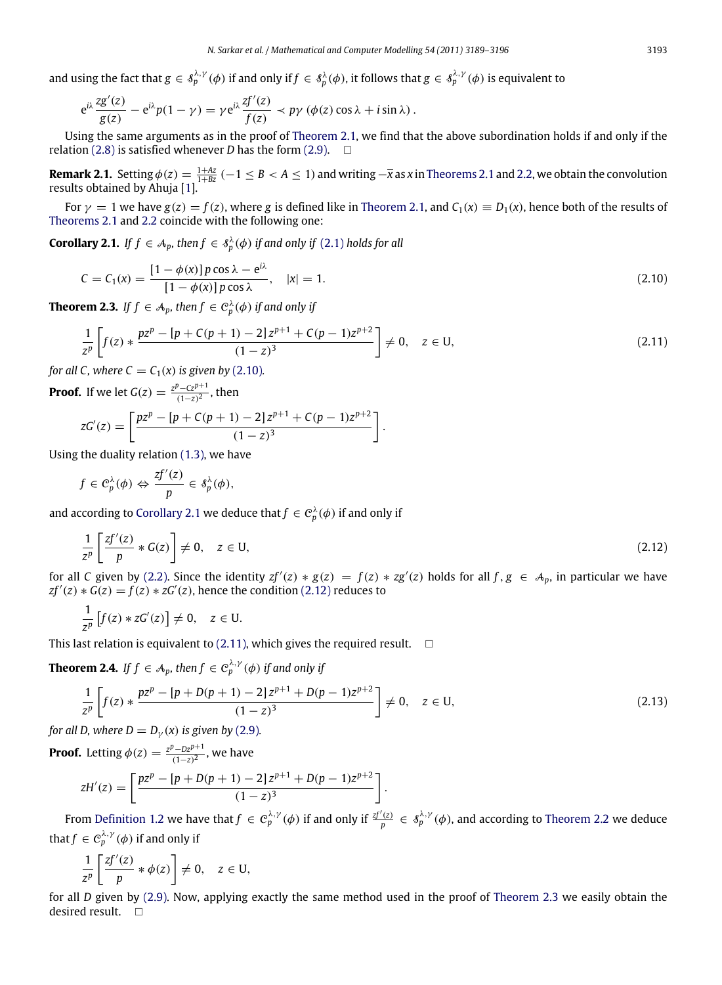and using the fact that  $g \in \delta_p^{\lambda, \gamma}(\phi)$  if and only if  $f \in \delta_p^\lambda(\phi)$ , it follows that  $g \in \delta_p^{\lambda, \gamma}(\phi)$  is equivalent to

$$
e^{i\lambda}\frac{z g'(z)}{g(z)}-e^{i\lambda}p(1-\gamma)=\gamma e^{i\lambda}\frac{zf'(z)}{f(z)}\prec p\gamma\left(\phi(z)\cos\lambda+i\sin\lambda\right).
$$

Using the same arguments as in the proof of [Theorem 2.1,](#page-2-2) we find that the above subordination holds if and only if the relation [\(2.8\)](#page-3-5) is satisfied whenever *D* has the form [\(2.9\).](#page-3-6)  $\Box$ 

**Remark 2.1.** Setting  $\phi(z) = \frac{1+Az}{1+Bz}$  (−1 ≤ *B* < *A* ≤ 1) and writing − $\overline{x}$  as *x* in [Theorems 2.1](#page-2-2) and [2.2,](#page-3-7) we obtain the convolution results obtained by Ahuja [\[1\]](#page-6-0).

For  $\gamma = 1$  we have  $g(z) = f(z)$ , where *g* is defined like in [Theorem 2.1,](#page-2-2) and  $C_1(x) \equiv D_1(x)$ , hence both of the results of [Theorems 2.1](#page-2-2) and [2.2](#page-3-7) coincide with the following one:

**Corollary 2.1.** *If*  $f \in A_p$ , then  $f \in \mathcal{S}_p^{\lambda}(\phi)$  if and only if [\(2.1\)](#page-2-0) *holds* for all

<span id="page-4-1"></span>
$$
C = C_1(x) = \frac{[1 - \phi(x)]p \cos \lambda - e^{i\lambda}}{[1 - \phi(x)]p \cos \lambda}, \quad |x| = 1.
$$
 (2.10)

**Theorem 2.3.** If  $f \in A_p$ , then  $f \in C_p^{\lambda}(\phi)$  if and only if

<span id="page-4-4"></span>
$$
\frac{1}{z^p} \left[ f(z) * \frac{pz^p - [p + C(p+1) - 2]z^{p+1} + C(p-1)z^{p+2}}{(1-z)^3} \right] \neq 0, \quad z \in U,
$$
\n(2.11)

<span id="page-4-3"></span><span id="page-4-2"></span><span id="page-4-0"></span>.

*for all C, where*  $C = C_1(x)$  *is given by* [\(2.10\)](#page-4-0).

**Proof.** If we let  $G(z) = \frac{z^p - Cz^{p+1}}{(1-z)^2}$ , then

$$
zG'(z) = \left[ \frac{pz^p - [p + C(p + 1) - 2]z^{p+1} + C(p - 1)z^{p+2}}{(1-z)^3} \right]
$$

Using the duality relation [\(1.3\),](#page-1-2) we have

$$
f\in \mathcal{C}_p^{\lambda}(\phi) \Leftrightarrow \frac{zf'(z)}{p}\in \mathcal{S}_p^{\lambda}(\phi),
$$

and according to [Corollary 2.1](#page-4-1) we deduce that  $f \in C_p^{\lambda}(\phi)$  if and only if

$$
\frac{1}{z^p} \left[ \frac{zf'(z)}{p} * G(z) \right] \neq 0, \quad z \in U,
$$
\n(2.12)

for all *C* given by [\(2.2\).](#page-2-1) Since the identity  $zf'(z) * g(z) = f(z) * zg'(z)$  holds for all  $f, g \in A_p$ , in particular we have  $zf'(z) * G(z) = f(z) * zG'(z)$ , hence the condition [\(2.12\)](#page-4-2) reduces to

$$
\frac{1}{z^p}\left[f(z)*zG'(z)\right]\neq 0, \quad z\in U.
$$

This last relation is equivalent to [\(2.11\),](#page-4-3) which gives the required result.  $\square$ 

**Theorem 2.4.** If  $f \in A_p$ , then  $f \in C_p^{\lambda, \gamma}(\phi)$  if and only if

<span id="page-4-5"></span>
$$
\frac{1}{z^p} \left[ f(z) * \frac{pz^p - [p + D(p+1) - 2]z^{p+1} + D(p-1)z^{p+2}}{(1-z)^3} \right] \neq 0, \quad z \in U,
$$
\n(2.13)

*for all D, where*  $D = D_{\gamma}(x)$  *<i>is given by* [\(2.9\)](#page-3-6)*.* 

**Proof.** Letting  $\phi(z) = \frac{z^p - Dz^{p+1}}{(1-z)^2}$ , we have

$$
zH'(z) = \left[ \frac{pz^p - [p + D(p + 1) - 2]z^{p+1} + D(p - 1)z^{p+2}}{(1 - z)^3} \right].
$$

From [Definition 1.2](#page-1-1) we have that  $f \in C_p^{\lambda,\gamma}(\phi)$  if and only if  $\frac{zf'(z)}{p} \in \mathcal{S}_p^{\lambda,\gamma}(\phi)$ , and according to [Theorem 2.2](#page-3-7) we deduce that  $f \in C_p^{\lambda,\gamma}(\phi)$  if and only if

$$
\frac{1}{z^p}\left[\frac{zf'(z)}{p}*\phi(z)\right] \neq 0, \quad z \in U,
$$

for all *D* given by [\(2.9\).](#page-3-6) Now, applying exactly the same method used in the proof of [Theorem 2.3](#page-4-4) we easily obtain the desired result.  $\square$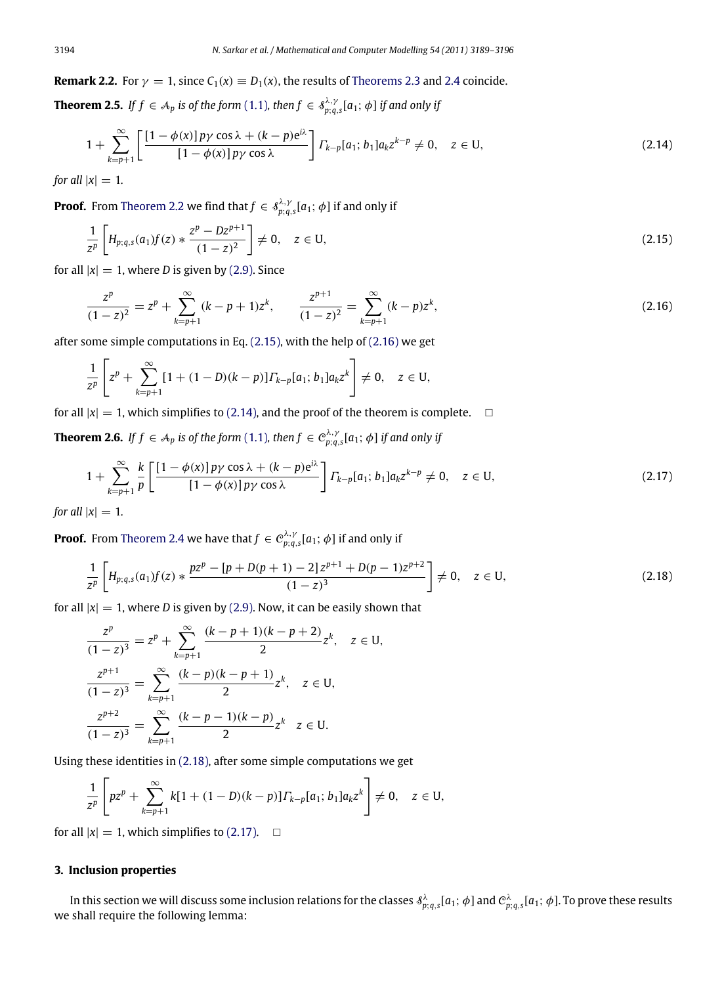**Remark 2.2.** For  $\gamma = 1$ , since  $C_1(x) \equiv D_1(x)$ , the results of [Theorems 2.3](#page-4-4) and [2.4](#page-4-5) coincide.

**Theorem 2.5.** If  $f \in A_p$  is of the form [\(1.1\)](#page-0-5), then  $f \in s_{p;q,s}^{\lambda,\gamma}[a_1;\phi]$  if and only if

<span id="page-5-2"></span>
$$
1 + \sum_{k=p+1}^{\infty} \left[ \frac{[1 - \phi(x)] p \gamma \cos \lambda + (k-p) e^{i\lambda}}{[1 - \phi(x)] p \gamma \cos \lambda} \right] \Gamma_{k-p}[a_1; b_1] a_k z^{k-p} \neq 0, \quad z \in U,
$$
\n(2.14)

*for all*  $|x| = 1$ *.* 

**Proof.** From [Theorem 2.2](#page-3-7) we find that  $f \in \mathcal{S}_{p;q,s}^{\lambda,\gamma}[a_1;\phi]$  if and only if

$$
\frac{1}{z^p} \left[ H_{p;q,s}(a_1)f(z) * \frac{z^p - Dz^{p+1}}{(1-z)^2} \right] \neq 0, \quad z \in U,
$$
\n(2.15)

for all  $|x| = 1$ , where *D* is given by [\(2.9\).](#page-3-6) Since

<span id="page-5-1"></span><span id="page-5-0"></span>
$$
\frac{z^p}{(1-z)^2} = z^p + \sum_{k=p+1}^{\infty} (k-p+1)z^k, \qquad \frac{z^{p+1}}{(1-z)^2} = \sum_{k=p+1}^{\infty} (k-p)z^k,
$$
\n(2.16)

after some simple computations in Eq. [\(2.15\),](#page-5-0) with the help of [\(2.16\)](#page-5-1) we get

$$
\frac{1}{z^p}\left[z^p+\sum_{k=p+1}^{\infty}[1+(1-D)(k-p)]\Gamma_{k-p}[a_1;b_1]a_kz^k\right]\neq 0, \quad z\in U,
$$

for all  $|x| = 1$ , which simplifies to [\(2.14\),](#page-5-2) and the proof of the theorem is complete.  $\Box$ 

**Theorem 2.6.** If  $f \in A_p$  is of the form  $(1.1)$ , then  $f \in C^{\lambda,\gamma}_{p;q,s}[a_1;\phi]$  if and only if

<span id="page-5-4"></span>
$$
1 + \sum_{k=p+1}^{\infty} \frac{k}{p} \left[ \frac{[1 - \phi(x)] p \gamma \cos \lambda + (k - p) e^{i\lambda}}{[1 - \phi(x)] p \gamma \cos \lambda} \right] \Gamma_{k-p} [a_1; b_1] a_k z^{k-p} \neq 0, \quad z \in U,
$$
\n(2.17)

*for all*  $|x| = 1$ *.* 

**Proof.** From [Theorem 2.4](#page-4-5) we have that  $f \in C^{\lambda,\gamma}_{p;q,s}[a_1;\phi]$  if and only if

<span id="page-5-3"></span>
$$
\frac{1}{z^p} \left[ H_{p;q,s}(a_1)f(z) * \frac{pz^p - [p + D(p+1) - 2]z^{p+1} + D(p-1)z^{p+2}}{(1-z)^3} \right] \neq 0, \quad z \in U,
$$
\n(2.18)

for all  $|x| = 1$ , where *D* is given by [\(2.9\).](#page-3-6) Now, it can be easily shown that

$$
\frac{z^p}{(1-z)^3} = z^p + \sum_{k=p+1}^{\infty} \frac{(k-p+1)(k-p+2)}{2} z^k, \quad z \in U,
$$
  

$$
\frac{z^{p+1}}{(1-z)^3} = \sum_{k=p+1}^{\infty} \frac{(k-p)(k-p+1)}{2} z^k, \quad z \in U,
$$
  

$$
\frac{z^{p+2}}{(1-z)^3} = \sum_{k=p+1}^{\infty} \frac{(k-p-1)(k-p)}{2} z^k, \quad z \in U.
$$

Using these identities in [\(2.18\),](#page-5-3) after some simple computations we get

$$
\frac{1}{z^p}\left[pz^p+\sum_{k=p+1}^{\infty}k[1+(1-D)(k-p)]\Gamma_{k-p}[a_1;b_1]a_kz^k\right]\neq 0, \quad z\in U,
$$

for all  $|x| = 1$ , which simplifies to [\(2.17\).](#page-5-4)  $\Box$ 

## **3. Inclusion properties**

In this section we will discuss some inclusion relations for the classes  $\delta^\lambda_{p;q,s}[a_1;\phi]$  and  $\mathcal{C}^\lambda_{p;q,s}[a_1;\phi]$ . To prove these results we shall require the following lemma: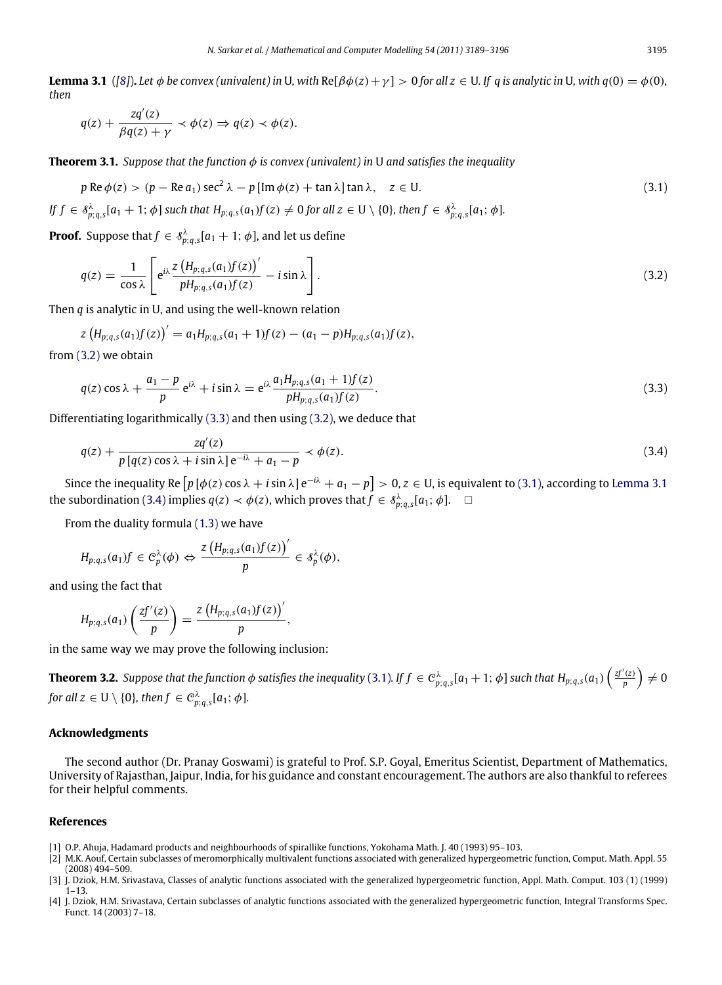**Lemma 3.1** ([\[8\]](#page-7-3)). Let  $\phi$  be convex (univalent) in U, with Re[ $\beta\phi(z) + \gamma$ ] > 0 for all  $z \in U$ . If q is analytic in U, with  $q(0) = \phi(0)$ , *then*

<span id="page-6-7"></span><span id="page-6-6"></span>
$$
q(z) + \frac{zq'(z)}{\beta q(z) + \gamma} \prec \phi(z) \Rightarrow q(z) \prec \phi(z).
$$

**Theorem 3.1.** *Suppose that the function*  $\phi$  *is convex (univalent) in* U *and satisfies the inequality* 

$$
p \operatorname{Re} \phi(z) > (p - \operatorname{Re} a_1) \operatorname{sec}^2 \lambda - p [\operatorname{Im} \phi(z) + \tan \lambda] \tan \lambda, \quad z \in U.
$$
 (3.1)

If  $f\in\mathscr{S}_{p;q,s}^{\lambda}[a_1+1;\phi]$  such that  $H_{p;q,s}(a_1)f(z)\neq 0$  for all  $z\in\mathsf{U}\setminus\{0\}$ , then  $f\in\mathscr{S}_{p;q,s}^{\lambda}[a_1;\phi]$ .

**Proof.** Suppose that  $f \in \mathcal{S}_{p;q,s}^{\lambda}[a_1+1;\phi]$ , and let us define

<span id="page-6-4"></span>
$$
q(z) = \frac{1}{\cos \lambda} \left[ e^{i\lambda} \frac{z \left( H_{p;q,s}(a_1)f(z) \right)'}{p H_{p;q,s}(a_1)f(z)} - i \sin \lambda \right].
$$
\n(3.2)

Then *q* is analytic in U, and using the well-known relation

$$
z\left(H_{p;q,s}(a_1)f(z)\right)'=a_1H_{p;q,s}(a_1+1)f(z)-(a_1-p)H_{p;q,s}(a_1)f(z),
$$

from [\(3.2\)](#page-6-4) we obtain

<span id="page-6-8"></span><span id="page-6-5"></span>
$$
q(z)\cos\lambda + \frac{a_1 - p}{p} e^{i\lambda} + i\sin\lambda = e^{i\lambda} \frac{a_1 H_{p;q,s}(a_1 + 1)f(z)}{p H_{p;q,s}(a_1)f(z)}.
$$
\n(3.3)

Differentiating logarithmically [\(3.3\)](#page-6-5) and then using [\(3.2\),](#page-6-4) we deduce that

$$
q(z) + \frac{zq'(z)}{p\left[q(z)\cos\lambda + i\sin\lambda\right]e^{-i\lambda} + a_1 - p} \prec \phi(z). \tag{3.4}
$$

Since the inequality Re  $\lceil p\ [\phi(z)\ \cos{\lambda}+i\sin{\lambda}\ ]$  e<sup> $-i\lambda +  $a_1-p\rceil>0$ ,  $z\in$  U, is equivalent to [\(3.1\),](#page-6-6) according to [Lemma 3.1](#page-6-7)</sup>$ the subordination [\(3.4\)](#page-6-8) implies  $q(z) \prec \phi(z)$ , which proves that  $f \in \mathcal{S}_{p;q,s}^{\lambda}[a_1;\phi]$ .  $\Box$ 

From the duality formula [\(1.3\)](#page-1-2) we have

$$
H_{p;q,s}(a_1)f\in C_p^{\lambda}(\phi)\Leftrightarrow \frac{z\left(H_{p;q,s}(a_1)f(z)\right)'}{p}\in \mathcal{S}_p^{\lambda}(\phi),
$$

and using the fact that

$$
H_{p;q,s}(a_1)\left(\frac{zf'(z)}{p}\right)=\frac{z\left(H_{p;q,s}(a_1)f(z)\right)}{p'},
$$

in the same way we may prove the following inclusion:

**Theorem 3.2.** Suppose that the function  $\phi$  satisfies the inequality [\(3.1\)](#page-6-6). If  $f\in C^\lambda_{p;q,s}[a_1+1;\,\phi]$  such that  $H_{p;q,s}(a_1)\left(\frac{zf'(z)}{p}\right)\neq 0$ for all  $z\in\mathsf{U}\setminus\{0\}$ , then  $f\in \mathcal{C}^\lambda_{p;q,s}[a_1;\phi].$ 

### **Acknowledgments**

The second author (Dr. Pranay Goswami) is grateful to Prof. S.P. Goyal, Emeritus Scientist, Department of Mathematics, University of Rajasthan, Jaipur, India, for his guidance and constant encouragement. The authors are also thankful to referees for their helpful comments.

## **References**

- <span id="page-6-0"></span>[1] O.P. Ahuja, Hadamard products and neighbourhoods of spirallike functions, Yokohama Math. J. 40 (1993) 95–103.
- <span id="page-6-1"></span>[2] M.K. Aouf, Certain subclasses of meromorphically multivalent functions associated with generalized hypergeometric function, Comput. Math. Appl. 55 (2008) 494–509.
- <span id="page-6-2"></span>[3] J. Dziok, H.M. Srivastava, Classes of analytic functions associated with the generalized hypergeometric function, Appl. Math. Comput. 103 (1) (1999) 1–13.
- <span id="page-6-3"></span>[4] J. Dziok, H.M. Srivastava, Certain subclasses of analytic functions associated with the generalized hypergeometric function, Integral Transforms Spec. Funct. 14 (2003) 7–18.